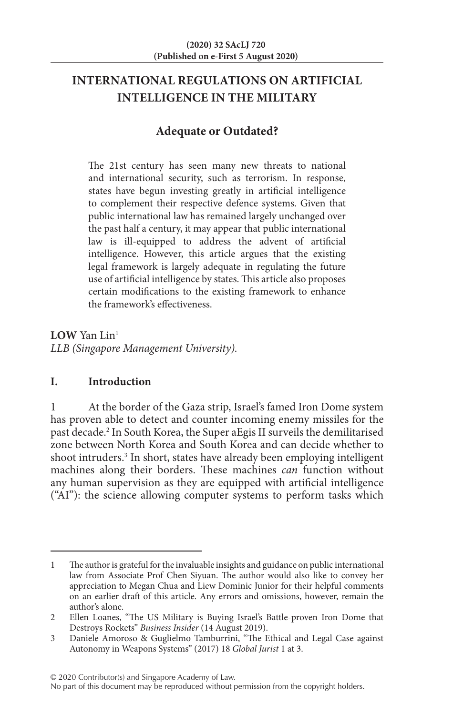# **INTERNATIONAL REGULATIONS ON ARTIFICIAL INTELLIGENCE IN THE MILITARY**

# **Adequate or Outdated?**

The 21st century has seen many new threats to national and international security, such as terrorism. In response, states have begun investing greatly in artificial intelligence to complement their respective defence systems. Given that public international law has remained largely unchanged over the past half a century, it may appear that public international law is ill-equipped to address the advent of artificial intelligence. However, this article argues that the existing legal framework is largely adequate in regulating the future use of artificial intelligence by states. This article also proposes certain modifications to the existing framework to enhance the framework's effectiveness.

**LOW** Yan Lin1 *LLB (Singapore Management University).*

## **I. Introduction**

1 At the border of the Gaza strip, Israel's famed Iron Dome system has proven able to detect and counter incoming enemy missiles for the past decade.2 In South Korea, the Super aEgis II surveils the demilitarised zone between North Korea and South Korea and can decide whether to shoot intruders.<sup>3</sup> In short, states have already been employing intelligent machines along their borders. These machines *can* function without any human supervision as they are equipped with artificial intelligence ("AI"): the science allowing computer systems to perform tasks which

© 2020 Contributor(s) and Singapore Academy of Law.

<sup>1</sup> The author is grateful for the invaluable insights and guidance on public international law from Associate Prof Chen Siyuan. The author would also like to convey her appreciation to Megan Chua and Liew Dominic Junior for their helpful comments on an earlier draft of this article. Any errors and omissions, however, remain the author's alone.

<sup>2</sup> Ellen Loanes, "The US Military is Buying Israel's Battle-proven Iron Dome that Destroys Rockets" *Business Insider* (14 August 2019).

<sup>3</sup> Daniele Amoroso & Guglielmo Tamburrini, "The Ethical and Legal Case against Autonomy in Weapons Systems" (2017) 18 *Global Jurist* 1 at 3.

No part of this document may be reproduced without permission from the copyright holders.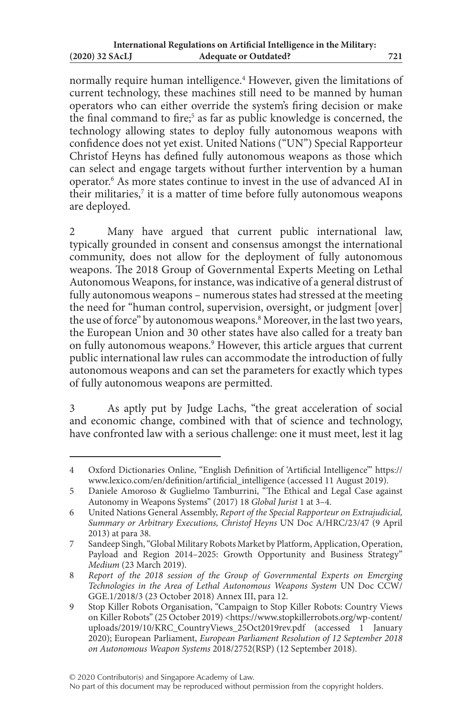normally require human intelligence.4 However, given the limitations of current technology, these machines still need to be manned by human operators who can either override the system's firing decision or make the final command to fire;<sup>5</sup> as far as public knowledge is concerned, the technology allowing states to deploy fully autonomous weapons with confidence does not yet exist. United Nations ("UN") Special Rapporteur Christof Heyns has defined fully autonomous weapons as those which can select and engage targets without further intervention by a human operator.6 As more states continue to invest in the use of advanced AI in their militaries, $7$  it is a matter of time before fully autonomous weapons are deployed.

2 Many have argued that current public international law, typically grounded in consent and consensus amongst the international community, does not allow for the deployment of fully autonomous weapons. The 2018 Group of Governmental Experts Meeting on Lethal Autonomous Weapons, for instance, was indicative of a general distrust of fully autonomous weapons – numerous states had stressed at the meeting the need for "human control, supervision, oversight, or judgment [over] the use of force" by autonomous weapons.<sup>8</sup> Moreover, in the last two years, the European Union and 30 other states have also called for a treaty ban on fully autonomous weapons.9 However, this article argues that current public international law rules can accommodate the introduction of fully autonomous weapons and can set the parameters for exactly which types of fully autonomous weapons are permitted.

3 As aptly put by Judge Lachs, "the great acceleration of social and economic change, combined with that of science and technology, have confronted law with a serious challenge: one it must meet, lest it lag

<sup>4</sup> Oxford Dictionaries Online, "English Definition of 'Artificial Intelligence'" https:// www.lexico.com/en/definition/artificial\_intelligence (accessed 11 August 2019).

<sup>5</sup> Daniele Amoroso & Guglielmo Tamburrini, "The Ethical and Legal Case against Autonomy in Weapons Systems" (2017) 18 *Global Jurist* 1 at 3–4.

<sup>6</sup> United Nations General Assembly, *Report of the Special Rapporteur on Extrajudicial, Summary or Arbitrary Executions, Christof Heyns* UN Doc A/HRC/23/47 (9 April 2013) at para 38.

<sup>7</sup> Sandeep Singh, "Global Military Robots Market by Platform, Application, Operation, Payload and Region 2014–2025: Growth Opportunity and Business Strategy" *Medium* (23 March 2019).

<sup>8</sup> *Report of the 2018 session of the Group of Governmental Experts on Emerging Technologies in the Area of Lethal Autonomous Weapons System* UN Doc CCW/ GGE.1/2018/3 (23 October 2018) Annex III, para 12.

<sup>9</sup> Stop Killer Robots Organisation, "Campaign to Stop Killer Robots: Country Views on Killer Robots" (25 October 2019) <https://www.stopkillerrobots.org/wp-content/ uploads/2019/10/KRC\_CountryViews\_25Oct2019rev.pdf (accessed 1 January 2020); European Parliament, *European Parliament Resolution of 12 September 2018 on Autonomous Weapon Systems* 2018/2752(RSP) (12 September 2018).

No part of this document may be reproduced without permission from the copyright holders.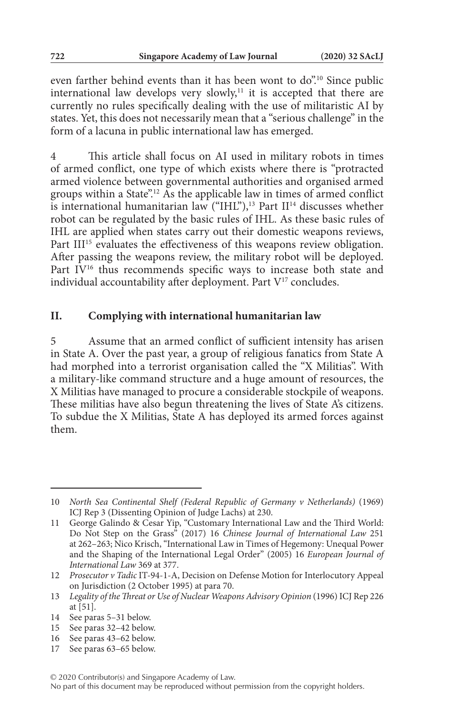even farther behind events than it has been wont to do".<sup>10</sup> Since public international law develops very slowly, $11$  it is accepted that there are currently no rules specifically dealing with the use of militaristic AI by states. Yet, this does not necessarily mean that a "serious challenge" in the form of a lacuna in public international law has emerged.

4 This article shall focus on AI used in military robots in times of armed conflict, one type of which exists where there is "protracted armed violence between governmental authorities and organised armed groups within a State".<sup>12</sup> As the applicable law in times of armed conflict is international humanitarian law  $("IHL")$ ,<sup>13</sup> Part  $II<sup>14</sup>$  discusses whether robot can be regulated by the basic rules of IHL. As these basic rules of IHL are applied when states carry out their domestic weapons reviews, Part III<sup>15</sup> evaluates the effectiveness of this weapons review obligation. After passing the weapons review, the military robot will be deployed. Part IV<sup>16</sup> thus recommends specific ways to increase both state and individual accountability after deployment. Part V<sup>17</sup> concludes.

### **II. Complying with international humanitarian law**

5 Assume that an armed conflict of sufficient intensity has arisen in State A. Over the past year, a group of religious fanatics from State A had morphed into a terrorist organisation called the "X Militias". With a military-like command structure and a huge amount of resources, the X Militias have managed to procure a considerable stockpile of weapons. These militias have also begun threatening the lives of State A's citizens. To subdue the X Militias, State A has deployed its armed forces against them.

17 See paras 63–65 below.

<sup>10</sup> *North Sea Continental Shelf (Federal Republic of Germany v Netherlands)* (1969) ICJ Rep 3 (Dissenting Opinion of Judge Lachs) at 230.

<sup>11</sup> George Galindo & Cesar Yip, "Customary International Law and the Third World: Do Not Step on the Grass" (2017) 16 *Chinese Journal of International Law* 251 at 262–263; Nico Krisch, "International Law in Times of Hegemony: Unequal Power and the Shaping of the International Legal Order" (2005) 16 *European Journal of International Law* 369 at 377.

<sup>12</sup> *Prosecutor v Tadic* IT-94-1-A, Decision on Defense Motion for Interlocutory Appeal on Jurisdiction (2 October 1995) at para 70.

<sup>13</sup> *Legality of the Threat or Use of Nuclear Weapons Advisory Opinion* (1996) ICJ Rep 226 at [51].

<sup>14</sup> See paras 5–31 below.

<sup>15</sup> See paras 32–42 below.

<sup>16</sup> See paras 43–62 below.

No part of this document may be reproduced without permission from the copyright holders.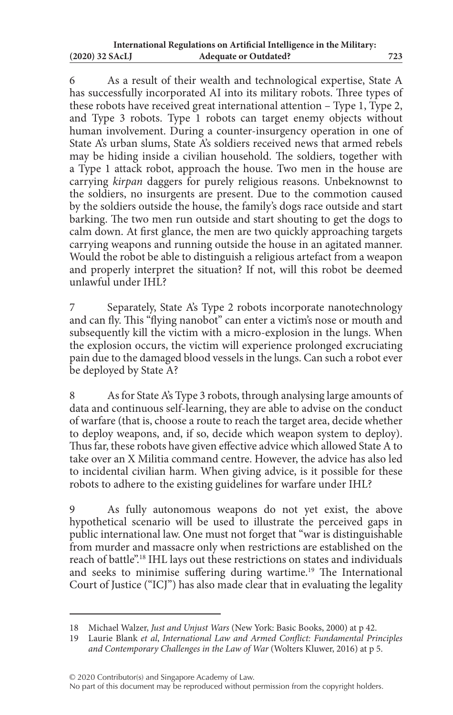6 As a result of their wealth and technological expertise, State A has successfully incorporated AI into its military robots. Three types of these robots have received great international attention – Type 1, Type 2, and Type 3 robots. Type 1 robots can target enemy objects without human involvement. During a counter-insurgency operation in one of State A's urban slums, State A's soldiers received news that armed rebels may be hiding inside a civilian household. The soldiers, together with a Type 1 attack robot, approach the house. Two men in the house are carrying *kirpan* daggers for purely religious reasons. Unbeknownst to the soldiers, no insurgents are present. Due to the commotion caused by the soldiers outside the house, the family's dogs race outside and start barking. The two men run outside and start shouting to get the dogs to calm down. At first glance, the men are two quickly approaching targets carrying weapons and running outside the house in an agitated manner. Would the robot be able to distinguish a religious artefact from a weapon and properly interpret the situation? If not, will this robot be deemed unlawful under IHL?

7 Separately, State A's Type 2 robots incorporate nanotechnology and can fly. This "flying nanobot" can enter a victim's nose or mouth and subsequently kill the victim with a micro-explosion in the lungs. When the explosion occurs, the victim will experience prolonged excruciating pain due to the damaged blood vessels in the lungs. Can such a robot ever be deployed by State A?

8 As for State A's Type 3 robots, through analysing large amounts of data and continuous self-learning, they are able to advise on the conduct of warfare (that is, choose a route to reach the target area, decide whether to deploy weapons, and, if so, decide which weapon system to deploy). Thus far, these robots have given effective advice which allowed State A to take over an X Militia command centre. However, the advice has also led to incidental civilian harm. When giving advice, is it possible for these robots to adhere to the existing guidelines for warfare under IHL?

As fully autonomous weapons do not yet exist, the above hypothetical scenario will be used to illustrate the perceived gaps in public international law. One must not forget that "war is distinguishable from murder and massacre only when restrictions are established on the reach of battle".18 IHL lays out these restrictions on states and individuals and seeks to minimise suffering during wartime.<sup>19</sup> The International Court of Justice ("ICJ") has also made clear that in evaluating the legality

<sup>18</sup> Michael Walzer, *Just and Unjust Wars* (New York: Basic Books, 2000) at p 42.

<sup>19</sup> Laurie Blank *et al*, *International Law and Armed Conflict: Fundamental Principles and Contemporary Challenges in the Law of War* (Wolters Kluwer, 2016) at p 5.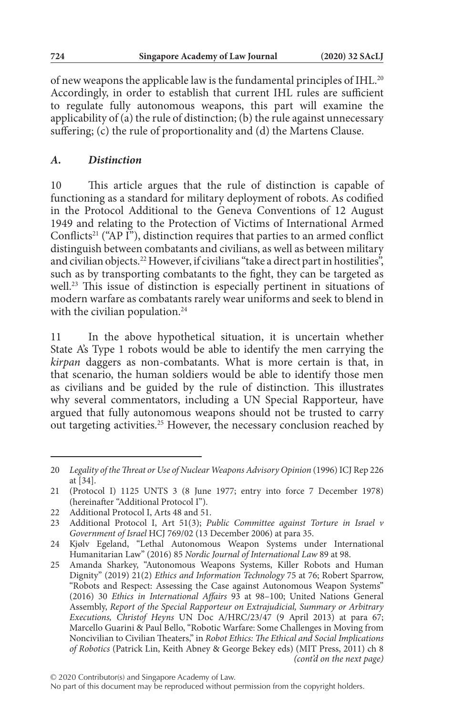of new weapons the applicable law is the fundamental principles of IHL.20 Accordingly, in order to establish that current IHL rules are sufficient to regulate fully autonomous weapons, this part will examine the applicability of (a) the rule of distinction; (b) the rule against unnecessary suffering; (c) the rule of proportionality and (d) the Martens Clause.

## *A. Distinction*

10 This article argues that the rule of distinction is capable of functioning as a standard for military deployment of robots. As codified in the Protocol Additional to the Geneva Conventions of 12 August 1949 and relating to the Protection of Victims of International Armed Conflicts<sup>21</sup> ("AP I"), distinction requires that parties to an armed conflict distinguish between combatants and civilians, as well as between military and civilian objects.<sup>22</sup> However, if civilians "take a direct part in hostilities", such as by transporting combatants to the fight, they can be targeted as well.<sup>23</sup> This issue of distinction is especially pertinent in situations of modern warfare as combatants rarely wear uniforms and seek to blend in with the civilian population.<sup>24</sup>

11 In the above hypothetical situation, it is uncertain whether State A's Type 1 robots would be able to identify the men carrying the *kirpan* daggers as non-combatants. What is more certain is that, in that scenario, the human soldiers would be able to identify those men as civilians and be guided by the rule of distinction. This illustrates why several commentators, including a UN Special Rapporteur, have argued that fully autonomous weapons should not be trusted to carry out targeting activities.25 However, the necessary conclusion reached by

<sup>20</sup> *Legality of the Threat or Use of Nuclear Weapons Advisory Opinion* (1996) ICJ Rep 226 at [34].

<sup>21</sup> (Protocol I) 1125 UNTS 3 (8 June 1977; entry into force 7 December 1978) (hereinafter "Additional Protocol I").

<sup>22</sup> Additional Protocol I, Arts 48 and 51.

<sup>23</sup> Additional Protocol I, Art 51(3); *Public Committee against Torture in Israel v Government of Israel* HCJ 769/02 (13 December 2006) at para 35.

<sup>24</sup> Kjølv Egeland, "Lethal Autonomous Weapon Systems under International Humanitarian Law" (2016) 85 *Nordic Journal of International Law* 89 at 98.

<sup>25</sup> Amanda Sharkey, "Autonomous Weapons Systems, Killer Robots and Human Dignity" (2019) 21(2) *Ethics and Information Technology* 75 at 76; Robert Sparrow, "Robots and Respect: Assessing the Case against Autonomous Weapon Systems" (2016) 30 *Ethics in International Affairs* 93 at 98–100; United Nations General Assembly, *Report of the Special Rapporteur on Extrajudicial, Summary or Arbitrary Executions, Christof Heyns* UN Doc A/HRC/23/47 (9 April 2013) at para 67; Marcello Guarini & Paul Bello, "Robotic Warfare: Some Challenges in Moving from Noncivilian to Civilian Theaters," in *Robot Ethics: The Ethical and Social Implications of Robotics* (Patrick Lin, Keith Abney & George Bekey eds) (MIT Press, 2011) ch 8 *(cont'd on the next page)*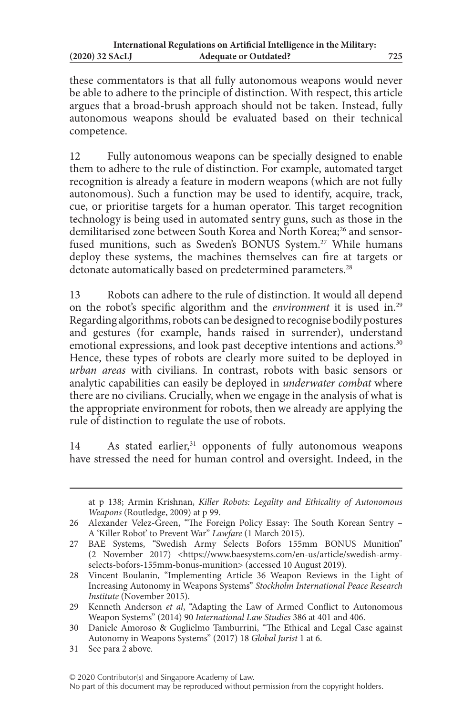these commentators is that all fully autonomous weapons would never be able to adhere to the principle of distinction. With respect, this article argues that a broad-brush approach should not be taken. Instead, fully autonomous weapons should be evaluated based on their technical competence.

12 Fully autonomous weapons can be specially designed to enable them to adhere to the rule of distinction. For example, automated target recognition is already a feature in modern weapons (which are not fully autonomous). Such a function may be used to identify, acquire, track, cue, or prioritise targets for a human operator. This target recognition technology is being used in automated sentry guns, such as those in the demilitarised zone between South Korea and North Korea;<sup>26</sup> and sensorfused munitions, such as Sweden's BONUS System.<sup>27</sup> While humans deploy these systems, the machines themselves can fire at targets or detonate automatically based on predetermined parameters.<sup>28</sup>

13 Robots can adhere to the rule of distinction. It would all depend on the robot's specific algorithm and the *environment* it is used in.29 Regarding algorithms, robots can be designed to recognise bodily postures and gestures (for example, hands raised in surrender), understand emotional expressions, and look past deceptive intentions and actions.<sup>30</sup> Hence, these types of robots are clearly more suited to be deployed in *urban areas* with civilians. In contrast, robots with basic sensors or analytic capabilities can easily be deployed in *underwater combat* where there are no civilians. Crucially, when we engage in the analysis of what is the appropriate environment for robots, then we already are applying the rule of distinction to regulate the use of robots.

14 As stated earlier,<sup>31</sup> opponents of fully autonomous weapons have stressed the need for human control and oversight. Indeed, in the

at p 138; Armin Krishnan, *Killer Robots: Legality and Ethicality of Autonomous Weapons* (Routledge, 2009) at p 99.

<sup>26</sup> Alexander Velez-Green, "The Foreign Policy Essay: The South Korean Sentry – A 'Killer Robot' to Prevent War" *Lawfare* (1 March 2015).

<sup>27</sup> BAE Systems, "Swedish Army Selects Bofors 155mm BONUS Munition" (2 November 2017) <https://www.baesystems.com/en-us/article/swedish-armyselects-bofors-155mm-bonus-munition> (accessed 10 August 2019).

<sup>28</sup> Vincent Boulanin, "Implementing Article 36 Weapon Reviews in the Light of Increasing Autonomy in Weapons Systems" *Stockholm International Peace Research Institute* (November 2015).

<sup>29</sup> Kenneth Anderson *et al*, "Adapting the Law of Armed Conflict to Autonomous Weapon Systems" (2014) 90 *International Law Studies* 386 at 401 and 406.

<sup>30</sup> Daniele Amoroso & Guglielmo Tamburrini, "The Ethical and Legal Case against Autonomy in Weapons Systems" (2017) 18 *Global Jurist* 1 at 6.

<sup>31</sup> See para 2 above.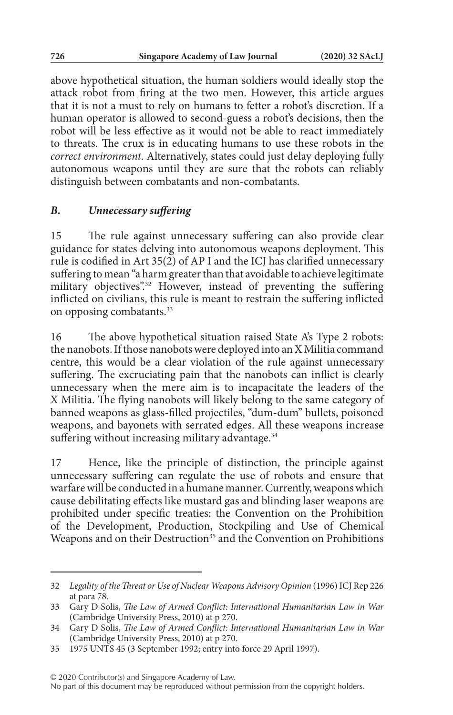above hypothetical situation, the human soldiers would ideally stop the attack robot from firing at the two men. However, this article argues that it is not a must to rely on humans to fetter a robot's discretion. If a human operator is allowed to second-guess a robot's decisions, then the robot will be less effective as it would not be able to react immediately to threats. The crux is in educating humans to use these robots in the *correct environment*. Alternatively, states could just delay deploying fully autonomous weapons until they are sure that the robots can reliably distinguish between combatants and non-combatants.

## *B. Unnecessary suffering*

15 The rule against unnecessary suffering can also provide clear guidance for states delving into autonomous weapons deployment. This rule is codified in Art 35(2) of AP I and the ICJ has clarified unnecessary suffering to mean "a harm greater than that avoidable to achieve legitimate military objectives".<sup>32</sup> However, instead of preventing the suffering inflicted on civilians, this rule is meant to restrain the suffering inflicted on opposing combatants.33

16 The above hypothetical situation raised State A's Type 2 robots: the nanobots. If those nanobots were deployed into an X Militia command centre, this would be a clear violation of the rule against unnecessary suffering. The excruciating pain that the nanobots can inflict is clearly unnecessary when the mere aim is to incapacitate the leaders of the X Militia. The flying nanobots will likely belong to the same category of banned weapons as glass-filled projectiles, "dum-dum" bullets, poisoned weapons, and bayonets with serrated edges. All these weapons increase suffering without increasing military advantage.<sup>34</sup>

17 Hence, like the principle of distinction, the principle against unnecessary suffering can regulate the use of robots and ensure that warfare will be conducted in a humane manner. Currently, weapons which cause debilitating effects like mustard gas and blinding laser weapons are prohibited under specific treaties: the Convention on the Prohibition of the Development, Production, Stockpiling and Use of Chemical Weapons and on their Destruction<sup>35</sup> and the Convention on Prohibitions

<sup>32</sup> *Legality of the Threat or Use of Nuclear Weapons Advisory Opinion* (1996) ICJ Rep 226 at para 78.

<sup>33</sup> Gary D Solis, *The Law of Armed Conflict: International Humanitarian Law in War* (Cambridge University Press, 2010) at p 270.

<sup>34</sup> Gary D Solis, *The Law of Armed Conflict: International Humanitarian Law in War* (Cambridge University Press, 2010) at p 270.

<sup>35</sup> 1975 UNTS 45 (3 September 1992; entry into force 29 April 1997).

<sup>© 2020</sup> Contributor(s) and Singapore Academy of Law.

No part of this document may be reproduced without permission from the copyright holders.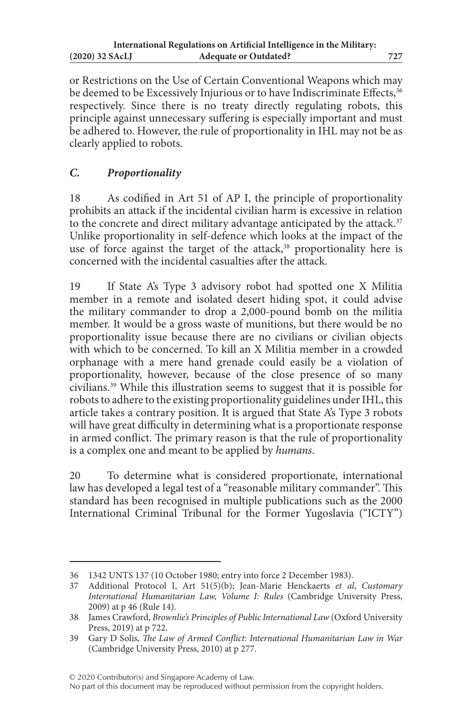or Restrictions on the Use of Certain Conventional Weapons which may be deemed to be Excessively Injurious or to have Indiscriminate Effects, 36 respectively. Since there is no treaty directly regulating robots, this principle against unnecessary suffering is especially important and must be adhered to. However, the rule of proportionality in IHL may not be as clearly applied to robots.

# *C. Proportionality*

18 As codified in Art 51 of AP I, the principle of proportionality prohibits an attack if the incidental civilian harm is excessive in relation to the concrete and direct military advantage anticipated by the attack.<sup>37</sup> Unlike proportionality in self-defence which looks at the impact of the use of force against the target of the attack, $38$  proportionality here is concerned with the incidental casualties after the attack.

19 If State A's Type 3 advisory robot had spotted one X Militia member in a remote and isolated desert hiding spot, it could advise the military commander to drop a 2,000-pound bomb on the militia member. It would be a gross waste of munitions, but there would be no proportionality issue because there are no civilians or civilian objects with which to be concerned. To kill an X Militia member in a crowded orphanage with a mere hand grenade could easily be a violation of proportionality, however, because of the close presence of so many civilians.39 While this illustration seems to suggest that it is possible for robots to adhere to the existing proportionality guidelines under IHL, this article takes a contrary position. It is argued that State A's Type 3 robots will have great difficulty in determining what is a proportionate response in armed conflict. The primary reason is that the rule of proportionality is a complex one and meant to be applied by *humans*.

20 To determine what is considered proportionate, international law has developed a legal test of a "reasonable military commander". This standard has been recognised in multiple publications such as the 2000 International Criminal Tribunal for the Former Yugoslavia ("ICTY")

© 2020 Contributor(s) and Singapore Academy of Law.

<sup>36</sup> 1342 UNTS 137 (10 October 1980; entry into force 2 December 1983).

<sup>37</sup> Additional Protocol I, Art 51(5)(b); Jean-Marie Henckaerts *et al*, *Customary International Humanitarian Law, Volume I: Rules* (Cambridge University Press, 2009) at p 46 (Rule 14).

<sup>38</sup> James Crawford, *Brownlie's Principles of Public International Law* (Oxford University Press, 2019) at p 722.

<sup>39</sup> Gary D Solis, *The Law of Armed Conflict: International Humanitarian Law in War* (Cambridge University Press, 2010) at p 277.

No part of this document may be reproduced without permission from the copyright holders.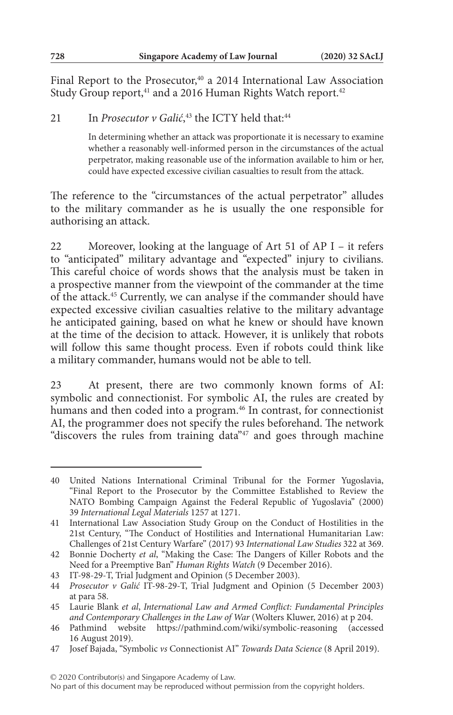Final Report to the Prosecutor,<sup>40</sup> a 2014 International Law Association Study Group report,<sup>41</sup> and a 2016 Human Rights Watch report.<sup>42</sup>

# 21 In *Prosecutor v Galić*,<sup>43</sup> the ICTY held that:<sup>44</sup>

In determining whether an attack was proportionate it is necessary to examine whether a reasonably well-informed person in the circumstances of the actual perpetrator, making reasonable use of the information available to him or her, could have expected excessive civilian casualties to result from the attack.

The reference to the "circumstances of the actual perpetrator" alludes to the military commander as he is usually the one responsible for authorising an attack.

22 Moreover, looking at the language of Art 51 of AP I – it refers to "anticipated" military advantage and "expected" injury to civilians. This careful choice of words shows that the analysis must be taken in a prospective manner from the viewpoint of the commander at the time of the attack.45 Currently, we can analyse if the commander should have expected excessive civilian casualties relative to the military advantage he anticipated gaining, based on what he knew or should have known at the time of the decision to attack. However, it is unlikely that robots will follow this same thought process. Even if robots could think like a military commander, humans would not be able to tell.

23 At present, there are two commonly known forms of AI: symbolic and connectionist. For symbolic AI, the rules are created by humans and then coded into a program.<sup>46</sup> In contrast, for connectionist AI, the programmer does not specify the rules beforehand. The network "discovers the rules from training data"47 and goes through machine

<sup>40</sup> United Nations International Criminal Tribunal for the Former Yugoslavia, "Final Report to the Prosecutor by the Committee Established to Review the NATO Bombing Campaign Against the Federal Republic of Yugoslavia" (2000) 39 *International Legal Materials* 1257 at 1271.

<sup>41</sup> International Law Association Study Group on the Conduct of Hostilities in the 21st Century, "The Conduct of Hostilities and International Humanitarian Law: Challenges of 21st Century Warfare" (2017) 93 *International Law Studies* 322 at 369.

<sup>42</sup> Bonnie Docherty *et al*, "Making the Case: The Dangers of Killer Robots and the Need for a Preemptive Ban" *Human Rights Watch* (9 December 2016).

<sup>43</sup> IT-98-29-T, Trial Judgment and Opinion (5 December 2003).

<sup>44</sup> *Prosecutor v Galić* IT-98-29-T, Trial Judgment and Opinion (5 December 2003) at para 58.

<sup>45</sup> Laurie Blank *et al*, *International Law and Armed Conflict: Fundamental Principles and Contemporary Challenges in the Law of War* (Wolters Kluwer, 2016) at p 204.

<sup>46</sup> Pathmind website https://pathmind.com/wiki/symbolic-reasoning (accessed 16 August 2019).

<sup>47</sup> Josef Bajada, "Symbolic *vs* Connectionist AI" *Towards Data Science* (8 April 2019).

No part of this document may be reproduced without permission from the copyright holders.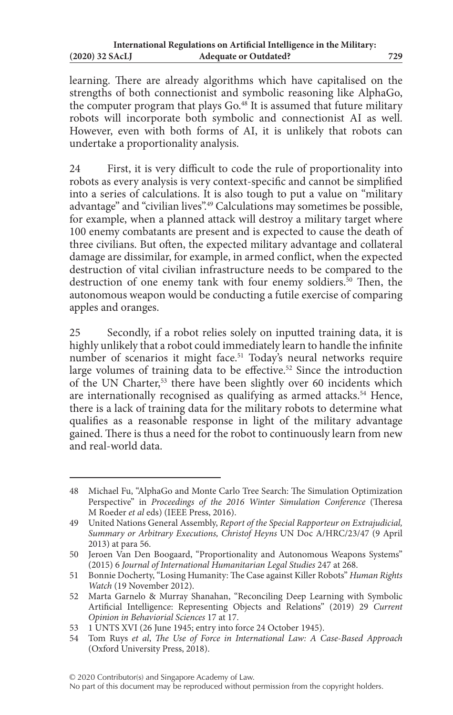learning. There are already algorithms which have capitalised on the strengths of both connectionist and symbolic reasoning like AlphaGo, the computer program that plays Go.<sup>48</sup> It is assumed that future military robots will incorporate both symbolic and connectionist AI as well. However, even with both forms of AI, it is unlikely that robots can undertake a proportionality analysis.

24 First, it is very difficult to code the rule of proportionality into robots as every analysis is very context-specific and cannot be simplified into a series of calculations. It is also tough to put a value on "military advantage" and "civilian lives".49 Calculations may sometimes be possible, for example, when a planned attack will destroy a military target where 100 enemy combatants are present and is expected to cause the death of three civilians. But often, the expected military advantage and collateral damage are dissimilar, for example, in armed conflict, when the expected destruction of vital civilian infrastructure needs to be compared to the destruction of one enemy tank with four enemy soldiers.<sup>50</sup> Then, the autonomous weapon would be conducting a futile exercise of comparing apples and oranges.

25 Secondly, if a robot relies solely on inputted training data, it is highly unlikely that a robot could immediately learn to handle the infinite number of scenarios it might face.<sup>51</sup> Today's neural networks require large volumes of training data to be effective.<sup>52</sup> Since the introduction of the UN Charter,<sup>53</sup> there have been slightly over 60 incidents which are internationally recognised as qualifying as armed attacks.<sup>54</sup> Hence, there is a lack of training data for the military robots to determine what qualifies as a reasonable response in light of the military advantage gained. There is thus a need for the robot to continuously learn from new and real-world data.

<sup>48</sup> Michael Fu, "AlphaGo and Monte Carlo Tree Search: The Simulation Optimization Perspective" in *Proceedings of the 2016 Winter Simulation Conference* (Theresa M Roeder *et al* eds) (IEEE Press, 2016).

<sup>49</sup> United Nations General Assembly, *Report of the Special Rapporteur on Extrajudicial, Summary or Arbitrary Executions, Christof Heyns* UN Doc A/HRC/23/47 (9 April 2013) at para 56.

<sup>50</sup> Jeroen Van Den Boogaard, "Proportionality and Autonomous Weapons Systems" (2015) 6 *Journal of International Humanitarian Legal Studies* 247 at 268.

<sup>51</sup> Bonnie Docherty, "Losing Humanity: The Case against Killer Robots" *Human Rights Watch* (19 November 2012).

<sup>52</sup> Marta Garnelo & Murray Shanahan, "Reconciling Deep Learning with Symbolic Artificial Intelligence: Representing Objects and Relations" (2019) 29 *Current Opinion in Behaviorial Sciences* 17 at 17.

<sup>53</sup> 1 UNTS XVI (26 June 1945; entry into force 24 October 1945).

<sup>54</sup> Tom Ruys *et al*, *The Use of Force in International Law: A Case-Based Approach* (Oxford University Press, 2018).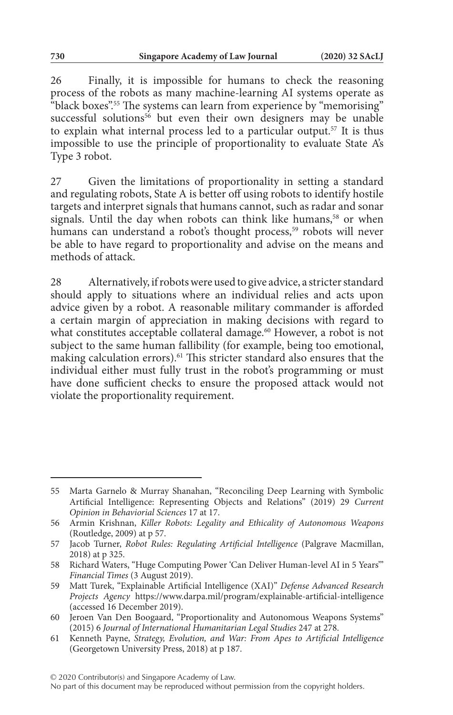26 Finally, it is impossible for humans to check the reasoning process of the robots as many machine-learning AI systems operate as "black boxes".<sup>55</sup> The systems can learn from experience by "memorising" successful solutions<sup>56</sup> but even their own designers may be unable to explain what internal process led to a particular output.57 It is thus impossible to use the principle of proportionality to evaluate State A's Type 3 robot.

27 Given the limitations of proportionality in setting a standard and regulating robots, State A is better off using robots to identify hostile targets and interpret signals that humans cannot, such as radar and sonar signals. Until the day when robots can think like humans,<sup>58</sup> or when humans can understand a robot's thought process,<sup>59</sup> robots will never be able to have regard to proportionality and advise on the means and methods of attack.

28 Alternatively, if robots were used to give advice, a stricter standard should apply to situations where an individual relies and acts upon advice given by a robot. A reasonable military commander is afforded a certain margin of appreciation in making decisions with regard to what constitutes acceptable collateral damage.<sup>60</sup> However, a robot is not subject to the same human fallibility (for example, being too emotional, making calculation errors).61 This stricter standard also ensures that the individual either must fully trust in the robot's programming or must have done sufficient checks to ensure the proposed attack would not violate the proportionality requirement.

<sup>55</sup> Marta Garnelo & Murray Shanahan, "Reconciling Deep Learning with Symbolic Artificial Intelligence: Representing Objects and Relations" (2019) 29 *Current Opinion in Behaviorial Sciences* 17 at 17.

<sup>56</sup> Armin Krishnan, *Killer Robots: Legality and Ethicality of Autonomous Weapons* (Routledge, 2009) at p 57.

<sup>57</sup> Jacob Turner, *Robot Rules: Regulating Artificial Intelligence* (Palgrave Macmillan, 2018) at p 325.

<sup>58</sup> Richard Waters, "Huge Computing Power 'Can Deliver Human-level AI in 5 Years'" *Financial Times* (3 August 2019).

<sup>59</sup> Matt Turek, "Explainable Artificial Intelligence (XAI)" *Defense Advanced Research Projects Agency* https://www.darpa.mil/program/explainable-artificial-intelligence (accessed 16 December 2019).

<sup>60</sup> Jeroen Van Den Boogaard, "Proportionality and Autonomous Weapons Systems" (2015) 6 *Journal of International Humanitarian Legal Studies* 247 at 278.

<sup>61</sup> Kenneth Payne, *Strategy, Evolution, and War: From Apes to Artificial Intelligence* (Georgetown University Press, 2018) at p 187.

No part of this document may be reproduced without permission from the copyright holders.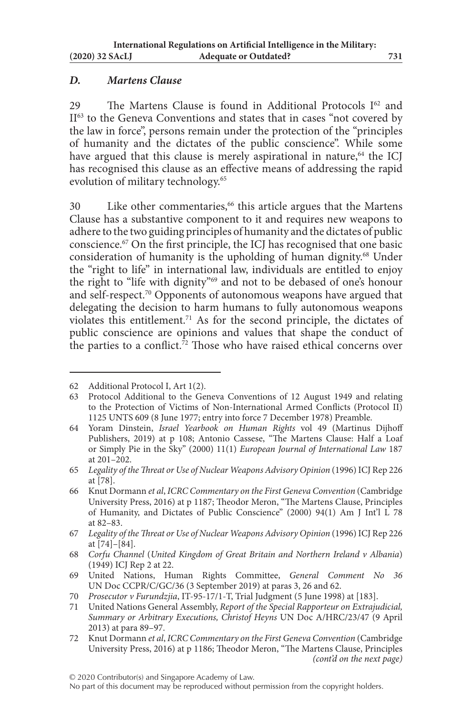# *D. Martens Clause*

29 The Martens Clause is found in Additional Protocols  $I<sup>62</sup>$  and II<sup>63</sup> to the Geneva Conventions and states that in cases "not covered by the law in force", persons remain under the protection of the "principles of humanity and the dictates of the public conscience". While some have argued that this clause is merely aspirational in nature, $64$  the ICJ has recognised this clause as an effective means of addressing the rapid evolution of military technology.<sup>65</sup>

30 Like other commentaries,<sup>66</sup> this article argues that the Martens Clause has a substantive component to it and requires new weapons to adhere to the two guiding principles of humanity and the dictates of public conscience.67 On the first principle, the ICJ has recognised that one basic consideration of humanity is the upholding of human dignity.<sup>68</sup> Under the "right to life" in international law, individuals are entitled to enjoy the right to "life with dignity"69 and not to be debased of one's honour and self-respect.70 Opponents of autonomous weapons have argued that delegating the decision to harm humans to fully autonomous weapons violates this entitlement.71 As for the second principle, the dictates of public conscience are opinions and values that shape the conduct of the parties to a conflict.<sup> $72$ </sup> Those who have raised ethical concerns over

<sup>62</sup> Additional Protocol I, Art 1(2).

<sup>63</sup> Protocol Additional to the Geneva Conventions of 12 August 1949 and relating to the Protection of Victims of Non-International Armed Conflicts (Protocol II) 1125 UNTS 609 (8 June 1977; entry into force 7 December 1978) Preamble.

<sup>64</sup> Yoram Dinstein, *Israel Yearbook on Human Rights* vol 49 (Martinus Dijhoff Publishers, 2019) at p 108; Antonio Cassese, "The Martens Clause: Half a Loaf or Simply Pie in the Sky" (2000) 11(1) *European Journal of International Law* 187 at 201–202.

<sup>65</sup> *Legality of the Threat or Use of Nuclear Weapons Advisory Opinion* (1996) ICJ Rep 226 at [78].

<sup>66</sup> Knut Dormann *et al*, *ICRC Commentary on the First Geneva Convention* (Cambridge University Press, 2016) at p 1187; Theodor Meron, "The Martens Clause, Principles of Humanity, and Dictates of Public Conscience" (2000) 94(1) Am J Int'l L 78 at 82–83.

<sup>67</sup> *Legality of the Threat or Use of Nuclear Weapons Advisory Opinion* (1996) ICJ Rep 226 at [74]–[84].

<sup>68</sup> *Corfu Channel* (*United Kingdom of Great Britain and Northern Ireland v Albania*) (1949) ICJ Rep 2 at 22.

<sup>69</sup> United Nations, Human Rights Committee, *General Comment No 36* UN Doc CCPR/C/GC/36 (3 September 2019) at paras 3, 26 and 62.

<sup>70</sup> *Prosecutor v Furundzjia*, IT-95-17/1-T, Trial Judgment (5 June 1998) at [183].

<sup>71</sup> United Nations General Assembly, *Report of the Special Rapporteur on Extrajudicial, Summary or Arbitrary Executions, Christof Heyns* UN Doc A/HRC/23/47 (9 April 2013) at para 89–97.

<sup>72</sup> Knut Dormann *et al*, *ICRC Commentary on the First Geneva Convention* (Cambridge University Press, 2016) at p 1186; Theodor Meron, "The Martens Clause, Principles *(cont'd on the next page)*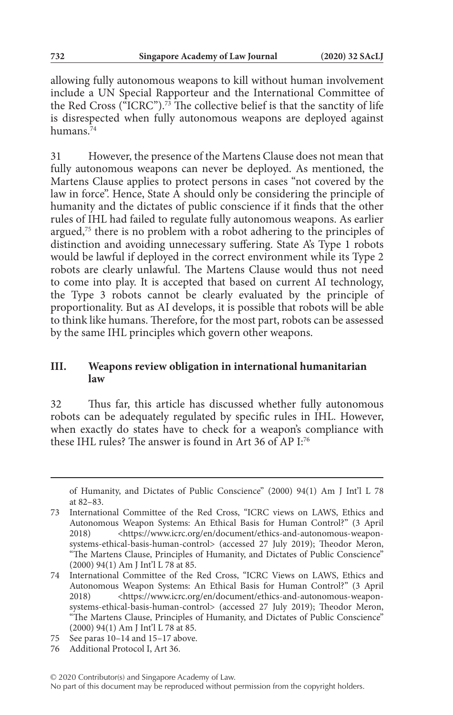allowing fully autonomous weapons to kill without human involvement include a UN Special Rapporteur and the International Committee of the Red Cross ( $\rm^{\tilde{c}}$ ICRC").<sup>73</sup> The collective belief is that the sanctity of life is disrespected when fully autonomous weapons are deployed against humans.<sup>74</sup>

31 However, the presence of the Martens Clause does not mean that fully autonomous weapons can never be deployed. As mentioned, the Martens Clause applies to protect persons in cases "not covered by the law in force". Hence, State A should only be considering the principle of humanity and the dictates of public conscience if it finds that the other rules of IHL had failed to regulate fully autonomous weapons. As earlier argued,75 there is no problem with a robot adhering to the principles of distinction and avoiding unnecessary suffering. State A's Type 1 robots would be lawful if deployed in the correct environment while its Type 2 robots are clearly unlawful. The Martens Clause would thus not need to come into play. It is accepted that based on current AI technology, the Type 3 robots cannot be clearly evaluated by the principle of proportionality. But as AI develops, it is possible that robots will be able to think like humans. Therefore, for the most part, robots can be assessed by the same IHL principles which govern other weapons.

### **III. Weapons review obligation in international humanitarian law**

32 Thus far, this article has discussed whether fully autonomous robots can be adequately regulated by specific rules in IHL. However, when exactly do states have to check for a weapon's compliance with these IHL rules? The answer is found in Art 36 of AP I:76

of Humanity, and Dictates of Public Conscience" (2000) 94(1) Am J Int'l L 78 at 82–83.

<sup>73</sup> International Committee of the Red Cross, "ICRC views on LAWS, Ethics and Autonomous Weapon Systems: An Ethical Basis for Human Control?" (3 April 2018) <https://www.icrc.org/en/document/ethics-and-autonomous-weaponsystems-ethical-basis-human-control> (accessed 27 July 2019); Theodor Meron, "The Martens Clause, Principles of Humanity, and Dictates of Public Conscience" (2000) 94(1) Am J Int'l L 78 at 85.

<sup>74</sup> International Committee of the Red Cross, "ICRC Views on LAWS, Ethics and Autonomous Weapon Systems: An Ethical Basis for Human Control?" (3 April 2018) <https://www.icrc.org/en/document/ethics-and-autonomous-weaponsystems-ethical-basis-human-control> (accessed 27 July 2019); Theodor Meron, "The Martens Clause, Principles of Humanity, and Dictates of Public Conscience" (2000) 94(1) Am J Int'l L 78 at 85.

<sup>75</sup> See paras 10–14 and 15–17 above.

<sup>76</sup> Additional Protocol I, Art 36.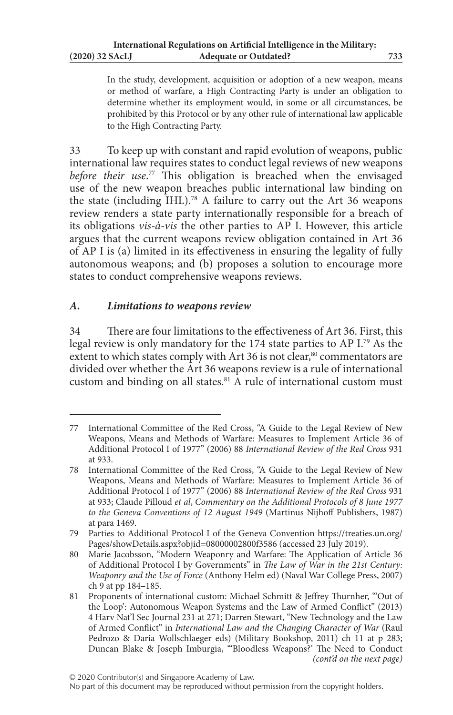In the study, development, acquisition or adoption of a new weapon, means or method of warfare, a High Contracting Party is under an obligation to determine whether its employment would, in some or all circumstances, be prohibited by this Protocol or by any other rule of international law applicable to the High Contracting Party.

33 To keep up with constant and rapid evolution of weapons, public international law requires states to conduct legal reviews of new weapons *before their use*. 77 This obligation is breached when the envisaged use of the new weapon breaches public international law binding on the state (including IHL).<sup>78</sup> A failure to carry out the Art 36 weapons review renders a state party internationally responsible for a breach of its obligations *vis-à-vis* the other parties to AP I. However, this article argues that the current weapons review obligation contained in Art 36 of AP I is (a) limited in its effectiveness in ensuring the legality of fully autonomous weapons; and (b) proposes a solution to encourage more states to conduct comprehensive weapons reviews.

# *A. Limitations to weapons review*

34 There are four limitations to the effectiveness of Art 36. First, this legal review is only mandatory for the 174 state parties to AP I.79 As the extent to which states comply with Art 36 is not clear, $80$  commentators are divided over whether the Art 36 weapons review is a rule of international custom and binding on all states.<sup>81</sup> A rule of international custom must

<sup>77</sup> International Committee of the Red Cross, "A Guide to the Legal Review of New Weapons, Means and Methods of Warfare: Measures to Implement Article 36 of Additional Protocol I of 1977" (2006) 88 *International Review of the Red Cross* 931 at 933.

<sup>78</sup> International Committee of the Red Cross, "A Guide to the Legal Review of New Weapons, Means and Methods of Warfare: Measures to Implement Article 36 of Additional Protocol I of 1977" (2006) 88 *International Review of the Red Cross* 931 at 933; Claude Pilloud *et al*, *Commentary on the Additional Protocols of 8 June 1977 to the Geneva Conventions of 12 August 1949* (Martinus Nijhoff Publishers, 1987) at para 1469.

<sup>79</sup> Parties to Additional Protocol I of the Geneva Convention https://treaties.un.org/ Pages/showDetails.aspx?objid=08000002800f3586 (accessed 23 July 2019).

<sup>80</sup> Marie Jacobsson, "Modern Weaponry and Warfare: The Application of Article 36 of Additional Protocol I by Governments" in *The Law of War in the 21st Century: Weaponry and the Use of Force* (Anthony Helm ed) (Naval War College Press, 2007) ch 9 at pp 184–185.

<sup>81</sup> Proponents of international custom: Michael Schmitt & Jeffrey Thurnher, "'Out of the Loop': Autonomous Weapon Systems and the Law of Armed Conflict" (2013) 4 Harv Nat'l Sec Journal 231 at 271; Darren Stewart, "New Technology and the Law of Armed Conflict" in *International Law and the Changing Character of War* (Raul Pedrozo & Daria Wollschlaeger eds) (Military Bookshop, 2011) ch 11 at p 283; Duncan Blake & Joseph Imburgia, "'Bloodless Weapons?' The Need to Conduct *(cont'd on the next page)*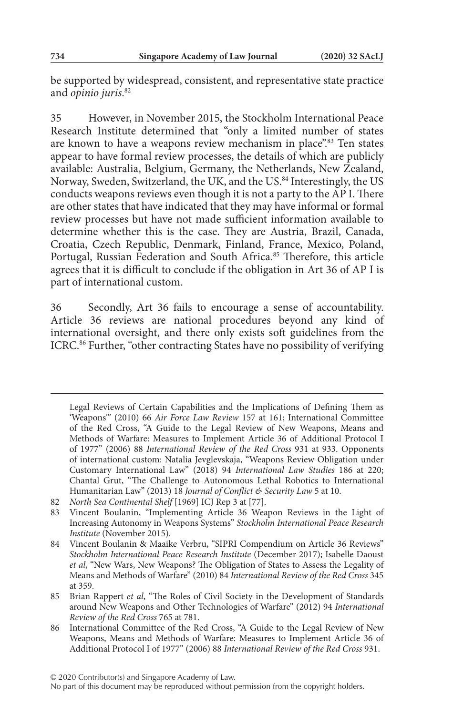be supported by widespread, consistent, and representative state practice and *opinio juris*. 82

35 However, in November 2015, the Stockholm International Peace Research Institute determined that "only a limited number of states are known to have a weapons review mechanism in place".83 Ten states appear to have formal review processes, the details of which are publicly available: Australia, Belgium, Germany, the Netherlands, New Zealand, Norway, Sweden, Switzerland, the UK, and the US.84 Interestingly, the US conducts weapons reviews even though it is not a party to the AP I. There are other states that have indicated that they may have informal or formal review processes but have not made sufficient information available to determine whether this is the case. They are Austria, Brazil, Canada, Croatia, Czech Republic, Denmark, Finland, France, Mexico, Poland, Portugal, Russian Federation and South Africa.<sup>85</sup> Therefore, this article agrees that it is difficult to conclude if the obligation in Art 36 of AP I is part of international custom.

36 Secondly, Art 36 fails to encourage a sense of accountability. Article 36 reviews are national procedures beyond any kind of international oversight, and there only exists soft guidelines from the ICRC.86 Further, "other contracting States have no possibility of verifying

Legal Reviews of Certain Capabilities and the Implications of Defining Them as 'Weapons'" (2010) 66 *Air Force Law Review* 157 at 161; International Committee of the Red Cross, "A Guide to the Legal Review of New Weapons, Means and Methods of Warfare: Measures to Implement Article 36 of Additional Protocol I of 1977" (2006) 88 *International Review of the Red Cross* 931 at 933. Opponents of international custom: Natalia Jevglevskaja, "Weapons Review Obligation under Customary International Law" (2018) 94 *International Law Studies* 186 at 220; Chantal Grut, "The Challenge to Autonomous Lethal Robotics to International Humanitarian Law" (2013) 18 *Journal of Conflict & Security Law* 5 at 10.

<sup>82</sup> *North Sea Continental Shelf* [1969] ICJ Rep 3 at [77].

<sup>83</sup> Vincent Boulanin, "Implementing Article 36 Weapon Reviews in the Light of Increasing Autonomy in Weapons Systems" *Stockholm International Peace Research Institute* (November 2015).

<sup>84</sup> Vincent Boulanin & Maaike Verbru, "SIPRI Compendium on Article 36 Reviews" *Stockholm International Peace Research Institute* (December 2017); Isabelle Daoust *et al*, "New Wars, New Weapons? The Obligation of States to Assess the Legality of Means and Methods of Warfare" (2010) 84 *International Review of the Red Cross* 345 at 359.

<sup>85</sup> Brian Rappert *et al*, "The Roles of Civil Society in the Development of Standards around New Weapons and Other Technologies of Warfare" (2012) 94 *International Review of the Red Cross* 765 at 781.

<sup>86</sup> International Committee of the Red Cross, "A Guide to the Legal Review of New Weapons, Means and Methods of Warfare: Measures to Implement Article 36 of Additional Protocol I of 1977" (2006) 88 *International Review of the Red Cross* 931.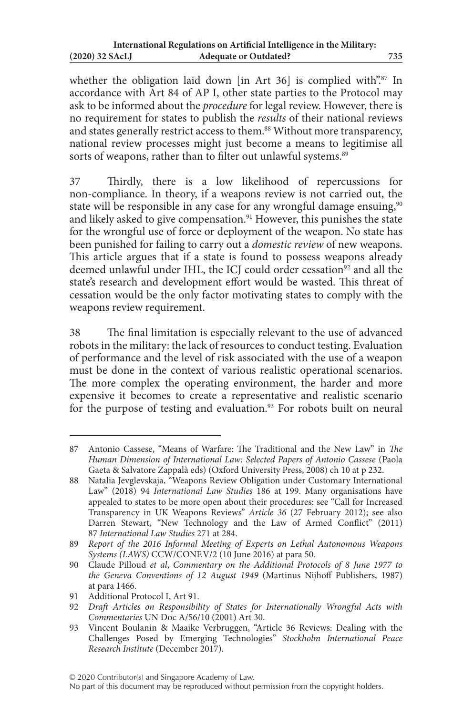whether the obligation laid down [in Art 36] is complied with".<sup>87</sup> In accordance with Art 84 of AP I, other state parties to the Protocol may ask to be informed about the *procedure* for legal review. However, there is no requirement for states to publish the *results* of their national reviews and states generally restrict access to them.<sup>88</sup> Without more transparency, national review processes might just become a means to legitimise all sorts of weapons, rather than to filter out unlawful systems.<sup>89</sup>

37 Thirdly, there is a low likelihood of repercussions for non-compliance. In theory, if a weapons review is not carried out, the state will be responsible in any case for any wrongful damage ensuing,<sup>90</sup> and likely asked to give compensation.<sup>91</sup> However, this punishes the state for the wrongful use of force or deployment of the weapon. No state has been punished for failing to carry out a *domestic review* of new weapons. This article argues that if a state is found to possess weapons already deemed unlawful under IHL, the ICJ could order cessation<sup>92</sup> and all the state's research and development effort would be wasted. This threat of cessation would be the only factor motivating states to comply with the weapons review requirement.

38 The final limitation is especially relevant to the use of advanced robots in the military: the lack of resources to conduct testing. Evaluation of performance and the level of risk associated with the use of a weapon must be done in the context of various realistic operational scenarios. The more complex the operating environment, the harder and more expensive it becomes to create a representative and realistic scenario for the purpose of testing and evaluation.<sup>93</sup> For robots built on neural

<sup>87</sup> Antonio Cassese, "Means of Warfare: The Traditional and the New Law" in *The Human Dimension of International Law: Selected Papers of Antonio Cassese* (Paola Gaeta & Salvatore Zappalà eds) (Oxford University Press, 2008) ch 10 at p 232.

<sup>88</sup> Natalia Jevglevskaja, "Weapons Review Obligation under Customary International Law" (2018) 94 *International Law Studies* 186 at 199. Many organisations have appealed to states to be more open about their procedures: see "Call for Increased Transparency in UK Weapons Reviews" *Article 36* (27 February 2012); see also Darren Stewart, "New Technology and the Law of Armed Conflict" (2011) 87 *International Law Studies* 271 at 284.

<sup>89</sup> *Report of the 2016 Informal Meeting of Experts on Lethal Autonomous Weapons Systems (LAWS)* CCW/CONF.V/2 (10 June 2016) at para 50.

<sup>90</sup> Claude Pilloud *et al*, *Commentary on the Additional Protocols of 8 June 1977 to the Geneva Conventions of 12 August 1949* (Martinus Nijhoff Publishers, 1987) at para 1466.

<sup>91</sup> Additional Protocol I, Art 91.

<sup>92</sup> *Draft Articles on Responsibility of States for Internationally Wrongful Acts with Commentaries* UN Doc A/56/10 (2001) Art 30.

<sup>93</sup> Vincent Boulanin & Maaike Verbruggen, "Article 36 Reviews: Dealing with the Challenges Posed by Emerging Technologies" *Stockholm International Peace Research Institute* (December 2017).

No part of this document may be reproduced without permission from the copyright holders.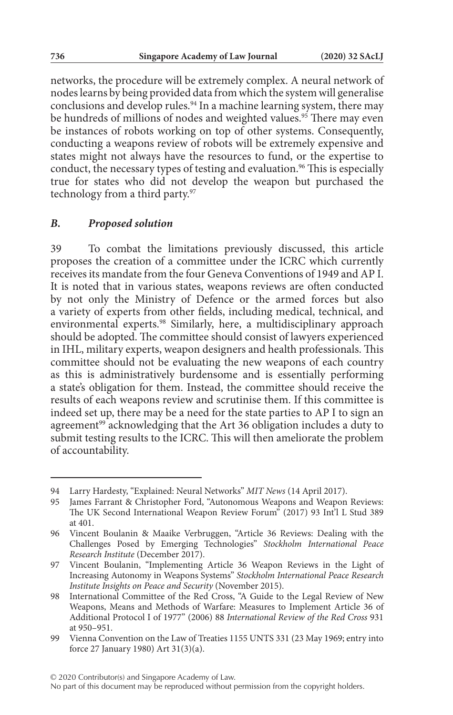networks, the procedure will be extremely complex. A neural network of nodes learns by being provided data from which the system will generalise conclusions and develop rules.<sup>94</sup> In a machine learning system, there may be hundreds of millions of nodes and weighted values.<sup>95</sup> There may even be instances of robots working on top of other systems. Consequently, conducting a weapons review of robots will be extremely expensive and states might not always have the resources to fund, or the expertise to conduct, the necessary types of testing and evaluation.<sup>96</sup> This is especially true for states who did not develop the weapon but purchased the technology from a third party.<sup>97</sup>

#### *B. Proposed solution*

39 To combat the limitations previously discussed, this article proposes the creation of a committee under the ICRC which currently receives its mandate from the four Geneva Conventions of 1949 and AP I. It is noted that in various states, weapons reviews are often conducted by not only the Ministry of Defence or the armed forces but also a variety of experts from other fields, including medical, technical, and environmental experts.98 Similarly, here, a multidisciplinary approach should be adopted. The committee should consist of lawyers experienced in IHL, military experts, weapon designers and health professionals. This committee should not be evaluating the new weapons of each country as this is administratively burdensome and is essentially performing a state's obligation for them. Instead, the committee should receive the results of each weapons review and scrutinise them. If this committee is indeed set up, there may be a need for the state parties to AP I to sign an agreement<sup>99</sup> acknowledging that the Art 36 obligation includes a duty to submit testing results to the ICRC. This will then ameliorate the problem of accountability.

<sup>94</sup> Larry Hardesty, "Explained: Neural Networks" *MIT News* (14 April 2017).

<sup>95</sup> James Farrant & Christopher Ford, "Autonomous Weapons and Weapon Reviews: The UK Second International Weapon Review Forum" (2017) 93 Int'l L Stud 389 at 401.

<sup>96</sup> Vincent Boulanin & Maaike Verbruggen, "Article 36 Reviews: Dealing with the Challenges Posed by Emerging Technologies" *Stockholm International Peace Research Institute* (December 2017).

<sup>97</sup> Vincent Boulanin, "Implementing Article 36 Weapon Reviews in the Light of Increasing Autonomy in Weapons Systems" *Stockholm International Peace Research Institute Insights on Peace and Security* (November 2015).

<sup>98</sup> International Committee of the Red Cross, "A Guide to the Legal Review of New Weapons, Means and Methods of Warfare: Measures to Implement Article 36 of Additional Protocol I of 1977" (2006) 88 *International Review of the Red Cross* 931 at 950–951.

<sup>99</sup> Vienna Convention on the Law of Treaties 1155 UNTS 331 (23 May 1969; entry into force 27 January 1980) Art 31(3)(a).

No part of this document may be reproduced without permission from the copyright holders.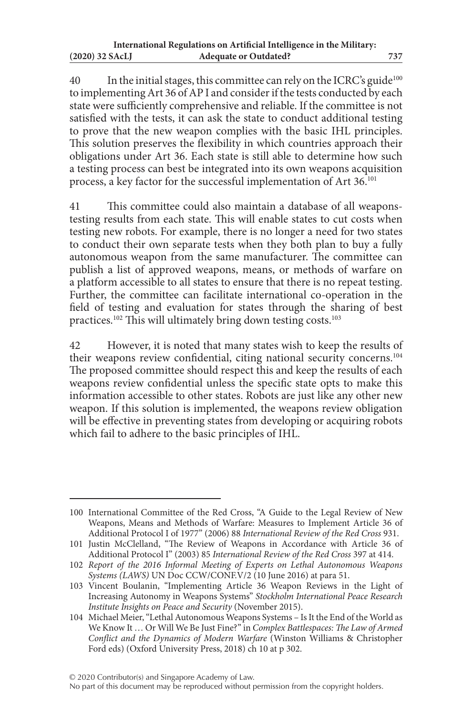40 In the initial stages, this committee can rely on the ICRC's guide<sup>100</sup> to implementing Art 36 of AP I and consider if the tests conducted by each state were sufficiently comprehensive and reliable. If the committee is not satisfied with the tests, it can ask the state to conduct additional testing to prove that the new weapon complies with the basic IHL principles. This solution preserves the flexibility in which countries approach their obligations under Art 36. Each state is still able to determine how such a testing process can best be integrated into its own weapons acquisition process, a key factor for the successful implementation of Art 36.101

41 This committee could also maintain a database of all weaponstesting results from each state. This will enable states to cut costs when testing new robots. For example, there is no longer a need for two states to conduct their own separate tests when they both plan to buy a fully autonomous weapon from the same manufacturer. The committee can publish a list of approved weapons, means, or methods of warfare on a platform accessible to all states to ensure that there is no repeat testing. Further, the committee can facilitate international co-operation in the field of testing and evaluation for states through the sharing of best practices.<sup>102</sup> This will ultimately bring down testing costs.<sup>103</sup>

42 However, it is noted that many states wish to keep the results of their weapons review confidential, citing national security concerns.104 The proposed committee should respect this and keep the results of each weapons review confidential unless the specific state opts to make this information accessible to other states. Robots are just like any other new weapon. If this solution is implemented, the weapons review obligation will be effective in preventing states from developing or acquiring robots which fail to adhere to the basic principles of IHL.

<sup>100</sup> International Committee of the Red Cross, "A Guide to the Legal Review of New Weapons, Means and Methods of Warfare: Measures to Implement Article 36 of Additional Protocol I of 1977" (2006) 88 *International Review of the Red Cross* 931.

<sup>101</sup> Justin McClelland, "The Review of Weapons in Accordance with Article 36 of Additional Protocol I" (2003) 85 *International Review of the Red Cross* 397 at 414.

<sup>102</sup> *Report of the 2016 Informal Meeting of Experts on Lethal Autonomous Weapons Systems (LAWS)* UN Doc CCW/CONF.V/2 (10 June 2016) at para 51.

<sup>103</sup> Vincent Boulanin, "Implementing Article 36 Weapon Reviews in the Light of Increasing Autonomy in Weapons Systems" *Stockholm International Peace Research Institute Insights on Peace and Security* (November 2015).

<sup>104</sup> Michael Meier, "Lethal Autonomous Weapons Systems – Is It the End of the World as We Know It … Or Will We Be Just Fine?" in *Complex Battlespaces: The Law of Armed Conflict and the Dynamics of Modern Warfare* (Winston Williams & Christopher Ford eds) (Oxford University Press, 2018) ch 10 at p 302.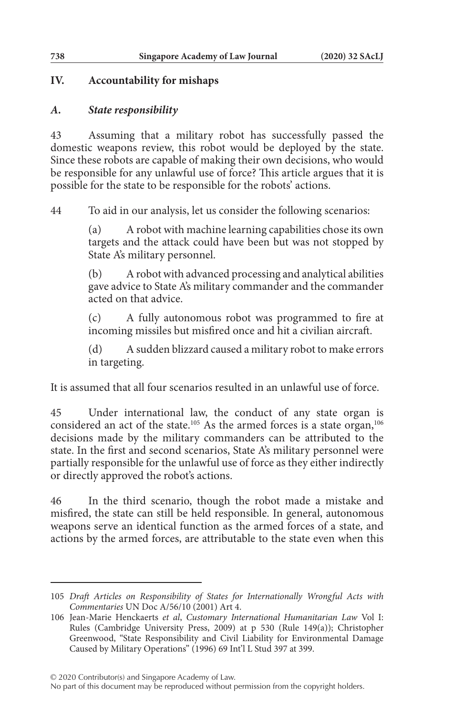## **IV. Accountability for mishaps**

## *A. State responsibility*

43 Assuming that a military robot has successfully passed the domestic weapons review, this robot would be deployed by the state. Since these robots are capable of making their own decisions, who would be responsible for any unlawful use of force? This article argues that it is possible for the state to be responsible for the robots' actions.

44 To aid in our analysis, let us consider the following scenarios:

(a) A robot with machine learning capabilities chose its own targets and the attack could have been but was not stopped by State A's military personnel.

(b) A robot with advanced processing and analytical abilities gave advice to State A's military commander and the commander acted on that advice.

(c) A fully autonomous robot was programmed to fire at incoming missiles but misfired once and hit a civilian aircraft.

(d) A sudden blizzard caused a military robot to make errors in targeting.

It is assumed that all four scenarios resulted in an unlawful use of force.

45 Under international law, the conduct of any state organ is considered an act of the state.<sup>105</sup> As the armed forces is a state organ,<sup>106</sup> decisions made by the military commanders can be attributed to the state. In the first and second scenarios, State A's military personnel were partially responsible for the unlawful use of force as they either indirectly or directly approved the robot's actions.

46 In the third scenario, though the robot made a mistake and misfired, the state can still be held responsible. In general, autonomous weapons serve an identical function as the armed forces of a state, and actions by the armed forces, are attributable to the state even when this

© 2020 Contributor(s) and Singapore Academy of Law.

No part of this document may be reproduced without permission from the copyright holders.

<sup>105</sup> *Draft Articles on Responsibility of States for Internationally Wrongful Acts with Commentaries* UN Doc A/56/10 (2001) Art 4.

<sup>106</sup> Jean-Marie Henckaerts *et al*, *Customary International Humanitarian Law* Vol I: Rules (Cambridge University Press, 2009) at p 530 (Rule 149(a)); Christopher Greenwood, "State Responsibility and Civil Liability for Environmental Damage Caused by Military Operations" (1996) 69 Int'l L Stud 397 at 399.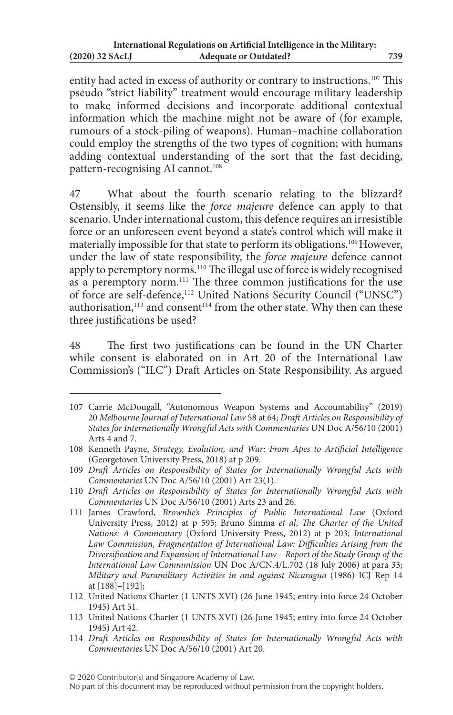entity had acted in excess of authority or contrary to instructions.107 This pseudo "strict liability" treatment would encourage military leadership to make informed decisions and incorporate additional contextual information which the machine might not be aware of (for example, rumours of a stock-piling of weapons). Human–machine collaboration could employ the strengths of the two types of cognition; with humans adding contextual understanding of the sort that the fast-deciding, pattern-recognising AI cannot.<sup>108</sup>

47 What about the fourth scenario relating to the blizzard? Ostensibly, it seems like the *force majeure* defence can apply to that scenario. Under international custom, this defence requires an irresistible force or an unforeseen event beyond a state's control which will make it materially impossible for that state to perform its obligations.<sup>109</sup> However, under the law of state responsibility, the *force majeure* defence cannot apply to peremptory norms.<sup>110</sup> The illegal use of force is widely recognised as a peremptory norm.<sup>111</sup> The three common justifications for the use of force are self-defence,112 United Nations Security Council ("UNSC") authorisation,<sup>113</sup> and consent<sup>114</sup> from the other state. Why then can these three justifications be used?

48 The first two justifications can be found in the UN Charter while consent is elaborated on in Art 20 of the International Law Commission's ("ILC") Draft Articles on State Responsibility. As argued

<sup>107</sup> Carrie McDougall, "Autonomous Weapon Systems and Accountability" (2019) 20 *Melbourne Journal of International Law* 58 at 64; *Draft Articles on Responsibility of States for Internationally Wrongful Acts with Commentaries* UN Doc A/56/10 (2001) Arts 4 and 7.

<sup>108</sup> Kenneth Payne, *Strategy, Evolution, and War: From Apes to Artificial Intelligence* (Georgetown University Press, 2018) at p 209.

<sup>109</sup> *Draft Articles on Responsibility of States for Internationally Wrongful Acts with Commentaries* UN Doc A/56/10 (2001) Art 23(1).

<sup>110</sup> *Draft Articles on Responsibility of States for Internationally Wrongful Acts with Commentaries* UN Doc A/56/10 (2001) Arts 23 and 26.

<sup>111</sup> James Crawford, *Brownlie's Principles of Public International Law* (Oxford University Press, 2012) at p 595; Bruno Simma *et al*, *The Charter of the United Nations: A Commentary* (Oxford University Press, 2012) at p 203; *International Law Commission, Fragmentation of International Law: Difficulties Arising from the Diversification and Expansion of International Law – Report of the Study Group of the International Law Commmission* UN Doc A/CN.4/L.702 (18 July 2006) at para 33; *Military and Paramilitary Activities in and against Nicaragua* (1986) ICJ Rep 14 at [188]–[192];

<sup>112</sup> United Nations Charter (1 UNTS XVI) (26 June 1945; entry into force 24 October 1945) Art 51.

<sup>113</sup> United Nations Charter (1 UNTS XVI) (26 June 1945; entry into force 24 October 1945) Art 42.

<sup>114</sup> *Draft Articles on Responsibility of States for Internationally Wrongful Acts with Commentaries* UN Doc A/56/10 (2001) Art 20.

No part of this document may be reproduced without permission from the copyright holders.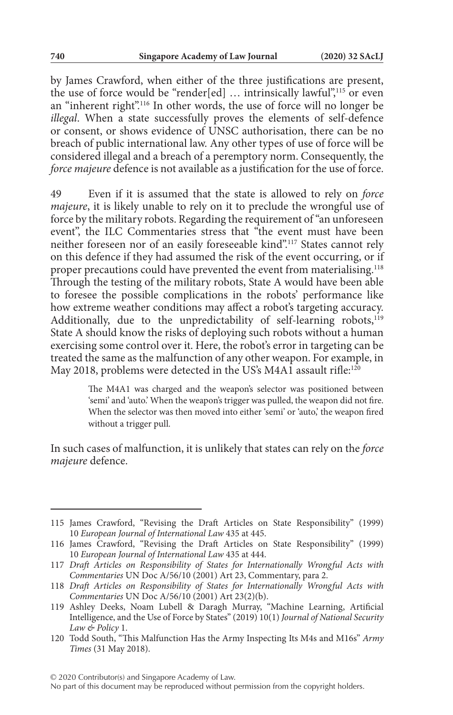by James Crawford, when either of the three justifications are present, the use of force would be "render[ed] ... intrinsically lawful",<sup>115</sup> or even an "inherent right".<sup>116</sup> In other words, the use of force will no longer be *illegal*. When a state successfully proves the elements of self-defence or consent, or shows evidence of UNSC authorisation, there can be no breach of public international law. Any other types of use of force will be considered illegal and a breach of a peremptory norm. Consequently, the *force majeure* defence is not available as a justification for the use of force.

49 Even if it is assumed that the state is allowed to rely on *force majeure*, it is likely unable to rely on it to preclude the wrongful use of force by the military robots. Regarding the requirement of "an unforeseen event", the ILC Commentaries stress that "the event must have been neither foreseen nor of an easily foreseeable kind".<sup>117</sup> States cannot rely on this defence if they had assumed the risk of the event occurring, or if proper precautions could have prevented the event from materialising.<sup>118</sup> Through the testing of the military robots, State A would have been able to foresee the possible complications in the robots' performance like how extreme weather conditions may affect a robot's targeting accuracy. Additionally, due to the unpredictability of self-learning robots, $119$ State A should know the risks of deploying such robots without a human exercising some control over it. Here, the robot's error in targeting can be treated the same as the malfunction of any other weapon. For example, in May 2018, problems were detected in the US's M4A1 assault rifle:<sup>120</sup>

> The M4A1 was charged and the weapon's selector was positioned between 'semi' and 'auto.' When the weapon's trigger was pulled, the weapon did not fire. When the selector was then moved into either 'semi' or 'auto,' the weapon fired without a trigger pull.

In such cases of malfunction, it is unlikely that states can rely on the *force majeure* defence.

<sup>115</sup> James Crawford, "Revising the Draft Articles on State Responsibility" (1999) 10 *European Journal of International Law* 435 at 445.

<sup>116</sup> James Crawford, "Revising the Draft Articles on State Responsibility" (1999) 10 *European Journal of International Law* 435 at 444.

<sup>117</sup> *Draft Articles on Responsibility of States for Internationally Wrongful Acts with Commentaries* UN Doc A/56/10 (2001) Art 23, Commentary, para 2.

<sup>118</sup> *Draft Articles on Responsibility of States for Internationally Wrongful Acts with Commentaries* UN Doc A/56/10 (2001) Art 23(2)(b).

<sup>119</sup> Ashley Deeks, Noam Lubell & Daragh Murray, "Machine Learning, Artificial Intelligence, and the Use of Force by States" (2019) 10(1) *Journal of National Security Law & Policy* 1.

<sup>120</sup> Todd South, "This Malfunction Has the Army Inspecting Its M4s and M16s" *Army Times* (31 May 2018).

No part of this document may be reproduced without permission from the copyright holders.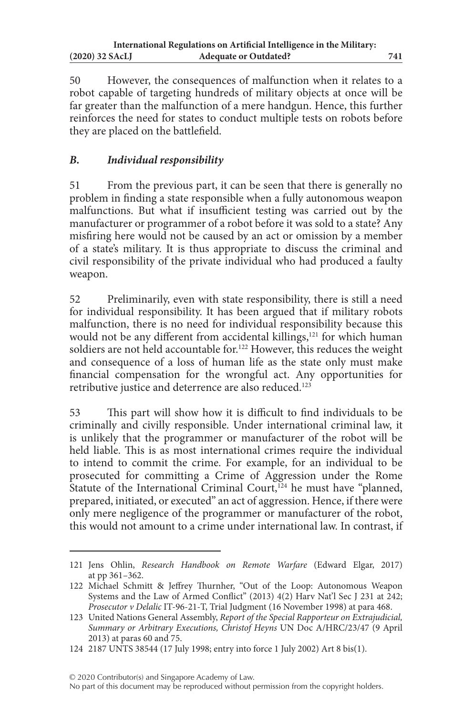50 However, the consequences of malfunction when it relates to a robot capable of targeting hundreds of military objects at once will be far greater than the malfunction of a mere handgun. Hence, this further reinforces the need for states to conduct multiple tests on robots before they are placed on the battlefield.

# *B. Individual responsibility*

51 From the previous part, it can be seen that there is generally no problem in finding a state responsible when a fully autonomous weapon malfunctions. But what if insufficient testing was carried out by the manufacturer or programmer of a robot before it was sold to a state? Any misfiring here would not be caused by an act or omission by a member of a state's military. It is thus appropriate to discuss the criminal and civil responsibility of the private individual who had produced a faulty weapon.

52 Preliminarily, even with state responsibility, there is still a need for individual responsibility. It has been argued that if military robots malfunction, there is no need for individual responsibility because this would not be any different from accidental killings,<sup>121</sup> for which human soldiers are not held accountable for.<sup>122</sup> However, this reduces the weight and consequence of a loss of human life as the state only must make financial compensation for the wrongful act. Any opportunities for retributive justice and deterrence are also reduced.<sup>123</sup>

53 This part will show how it is difficult to find individuals to be criminally and civilly responsible. Under international criminal law, it is unlikely that the programmer or manufacturer of the robot will be held liable. This is as most international crimes require the individual to intend to commit the crime. For example, for an individual to be prosecuted for committing a Crime of Aggression under the Rome Statute of the International Criminal Court,<sup>124</sup> he must have "planned, prepared, initiated, or executed" an act of aggression. Hence, if there were only mere negligence of the programmer or manufacturer of the robot, this would not amount to a crime under international law. In contrast, if

© 2020 Contributor(s) and Singapore Academy of Law.

<sup>121</sup> Jens Ohlin, *Research Handbook on Remote Warfare* (Edward Elgar, 2017) at pp 361–362.

<sup>122</sup> Michael Schmitt & Jeffrey Thurnher, "Out of the Loop: Autonomous Weapon Systems and the Law of Armed Conflict" (2013) 4(2) Harv Nat'l Sec J 231 at 242; *Prosecutor v Delalic* IT-96-21-T, Trial Judgment (16 November 1998) at para 468.

<sup>123</sup> United Nations General Assembly, *Report of the Special Rapporteur on Extrajudicial, Summary or Arbitrary Executions, Christof Heyns* UN Doc A/HRC/23/47 (9 April 2013) at paras 60 and 75.

<sup>124</sup> 2187 UNTS 38544 (17 July 1998; entry into force 1 July 2002) Art 8 bis(1).

No part of this document may be reproduced without permission from the copyright holders.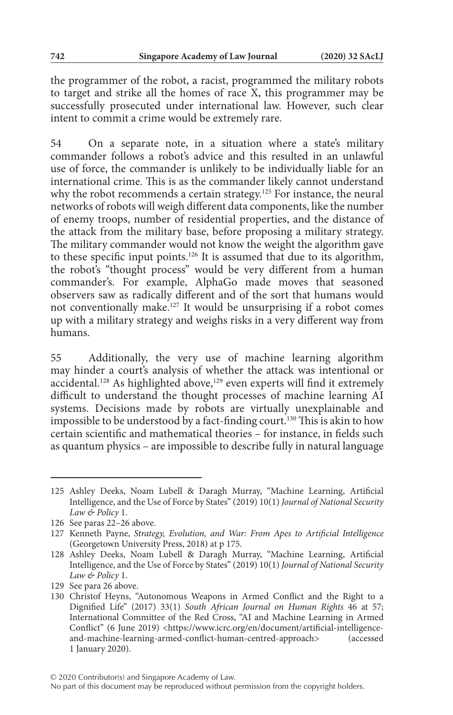the programmer of the robot, a racist, programmed the military robots to target and strike all the homes of race X, this programmer may be successfully prosecuted under international law. However, such clear intent to commit a crime would be extremely rare.

54 On a separate note, in a situation where a state's military commander follows a robot's advice and this resulted in an unlawful use of force, the commander is unlikely to be individually liable for an international crime. This is as the commander likely cannot understand why the robot recommends a certain strategy.<sup>125</sup> For instance, the neural networks of robots will weigh different data components, like the number of enemy troops, number of residential properties, and the distance of the attack from the military base, before proposing a military strategy. The military commander would not know the weight the algorithm gave to these specific input points.126 It is assumed that due to its algorithm, the robot's "thought process" would be very different from a human commander's. For example, AlphaGo made moves that seasoned observers saw as radically different and of the sort that humans would not conventionally make.127 It would be unsurprising if a robot comes up with a military strategy and weighs risks in a very different way from humans.

55 Additionally, the very use of machine learning algorithm may hinder a court's analysis of whether the attack was intentional or accidental.<sup>128</sup> As highlighted above,<sup>129</sup> even experts will find it extremely difficult to understand the thought processes of machine learning AI systems. Decisions made by robots are virtually unexplainable and impossible to be understood by a fact-finding court.<sup>130</sup> This is akin to how certain scientific and mathematical theories – for instance, in fields such as quantum physics – are impossible to describe fully in natural language

<sup>125</sup> Ashley Deeks, Noam Lubell & Daragh Murray, "Machine Learning, Artificial Intelligence, and the Use of Force by States" (2019) 10(1) *Journal of National Security Law & Policy* 1.

<sup>126</sup> See paras 22–26 above.

<sup>127</sup> Kenneth Payne, *Strategy, Evolution, and War: From Apes to Artificial Intelligence* (Georgetown University Press, 2018) at p 175.

<sup>128</sup> Ashley Deeks, Noam Lubell & Daragh Murray, "Machine Learning, Artificial Intelligence, and the Use of Force by States" (2019) 10(1) *Journal of National Security Law & Policy* 1.

<sup>129</sup> See para 26 above.

<sup>130</sup> Christof Heyns, "Autonomous Weapons in Armed Conflict and the Right to a Dignified Life" (2017) 33(1) *South African Journal on Human Rights* 46 at 57; International Committee of the Red Cross, "AI and Machine Learning in Armed Conflict" (6 June 2019) <https://www.icrc.org/en/document/artificial-intelligenceand-machine-learning-armed-conflict-human-centred-approach> (accessed 1 January 2020).

No part of this document may be reproduced without permission from the copyright holders.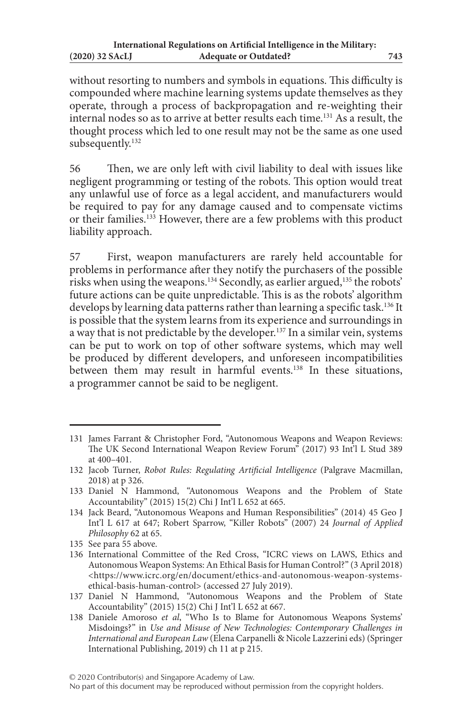without resorting to numbers and symbols in equations. This difficulty is compounded where machine learning systems update themselves as they operate, through a process of backpropagation and re-weighting their internal nodes so as to arrive at better results each time.131 As a result, the thought process which led to one result may not be the same as one used subsequently.<sup>132</sup>

56 Then, we are only left with civil liability to deal with issues like negligent programming or testing of the robots. This option would treat any unlawful use of force as a legal accident, and manufacturers would be required to pay for any damage caused and to compensate victims or their families.<sup>133</sup> However, there are a few problems with this product liability approach.

57 First, weapon manufacturers are rarely held accountable for problems in performance after they notify the purchasers of the possible risks when using the weapons.<sup>134</sup> Secondly, as earlier argued,<sup>135</sup> the robots' future actions can be quite unpredictable. This is as the robots' algorithm develops by learning data patterns rather than learning a specific task.<sup>136</sup> It is possible that the system learns from its experience and surroundings in a way that is not predictable by the developer.137 In a similar vein, systems can be put to work on top of other software systems, which may well be produced by different developers, and unforeseen incompatibilities between them may result in harmful events.<sup>138</sup> In these situations, a programmer cannot be said to be negligent.

<sup>131</sup> James Farrant & Christopher Ford, "Autonomous Weapons and Weapon Reviews: The UK Second International Weapon Review Forum" (2017) 93 Int'l L Stud 389 at 400–401.

<sup>132</sup> Jacob Turner, *Robot Rules: Regulating Artificial Intelligence* (Palgrave Macmillan, 2018) at p 326.

<sup>133</sup> Daniel N Hammond, "Autonomous Weapons and the Problem of State Accountability" (2015) 15(2) Chi J Int'l L 652 at 665.

<sup>134</sup> Jack Beard, "Autonomous Weapons and Human Responsibilities" (2014) 45 Geo J Int'l L 617 at 647; Robert Sparrow, "Killer Robots" (2007) 24 *Journal of Applied Philosophy* 62 at 65.

<sup>135</sup> See para 55 above.

<sup>136</sup> International Committee of the Red Cross, "ICRC views on LAWS, Ethics and Autonomous Weapon Systems: An Ethical Basis for Human Control?" (3 April 2018) <https://www.icrc.org/en/document/ethics-and-autonomous-weapon-systemsethical-basis-human-control> (accessed 27 July 2019).

<sup>137</sup> Daniel N Hammond, "Autonomous Weapons and the Problem of State Accountability" (2015) 15(2) Chi J Int'l L 652 at 667.

<sup>138</sup> Daniele Amoroso *et al*, "Who Is to Blame for Autonomous Weapons Systems' Misdoings?" in *Use and Misuse of New Technologies: Contemporary Challenges in International and European Law* (Elena Carpanelli & Nicole Lazzerini eds) (Springer International Publishing, 2019) ch 11 at p 215.

No part of this document may be reproduced without permission from the copyright holders.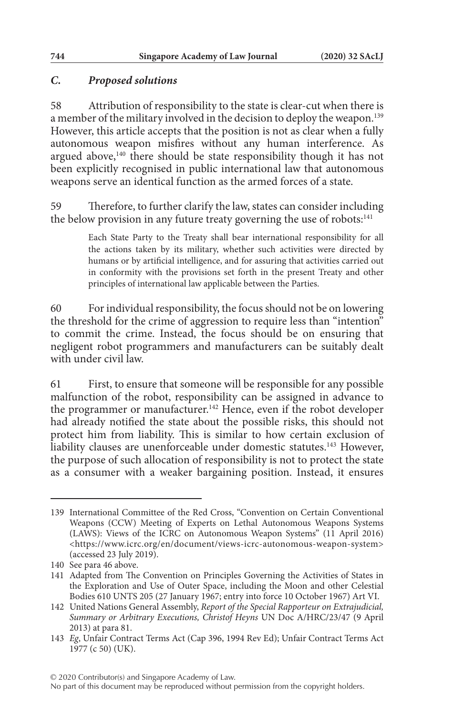## *C. Proposed solutions*

58 Attribution of responsibility to the state is clear-cut when there is a member of the military involved in the decision to deploy the weapon.<sup>139</sup> However, this article accepts that the position is not as clear when a fully autonomous weapon misfires without any human interference. As argued above,<sup>140</sup> there should be state responsibility though it has not been explicitly recognised in public international law that autonomous weapons serve an identical function as the armed forces of a state.

59 Therefore, to further clarify the law, states can consider including the below provision in any future treaty governing the use of robots:<sup>141</sup>

> Each State Party to the Treaty shall bear international responsibility for all the actions taken by its military, whether such activities were directed by humans or by artificial intelligence, and for assuring that activities carried out in conformity with the provisions set forth in the present Treaty and other principles of international law applicable between the Parties.

60 For individual responsibility, the focus should not be on lowering the threshold for the crime of aggression to require less than "intention" to commit the crime. Instead, the focus should be on ensuring that negligent robot programmers and manufacturers can be suitably dealt with under civil law.

61 First, to ensure that someone will be responsible for any possible malfunction of the robot, responsibility can be assigned in advance to the programmer or manufacturer.<sup>142</sup> Hence, even if the robot developer had already notified the state about the possible risks, this should not protect him from liability. This is similar to how certain exclusion of liability clauses are unenforceable under domestic statutes.<sup>143</sup> However, the purpose of such allocation of responsibility is not to protect the state as a consumer with a weaker bargaining position. Instead, it ensures

<sup>139</sup> International Committee of the Red Cross, "Convention on Certain Conventional Weapons (CCW) Meeting of Experts on Lethal Autonomous Weapons Systems (LAWS): Views of the ICRC on Autonomous Weapon Systems" (11 April 2016) <https://www.icrc.org/en/document/views-icrc-autonomous-weapon-system> (accessed 23 July 2019).

<sup>140</sup> See para 46 above.

<sup>141</sup> Adapted from The Convention on Principles Governing the Activities of States in the Exploration and Use of Outer Space, including the Moon and other Celestial Bodies 610 UNTS 205 (27 January 1967; entry into force 10 October 1967) Art VI.

<sup>142</sup> United Nations General Assembly, *Report of the Special Rapporteur on Extrajudicial, Summary or Arbitrary Executions, Christof Heyns* UN Doc A/HRC/23/47 (9 April 2013) at para 81.

<sup>143</sup> *Eg*, Unfair Contract Terms Act (Cap 396, 1994 Rev Ed); Unfair Contract Terms Act 1977 (c 50) (UK).

No part of this document may be reproduced without permission from the copyright holders.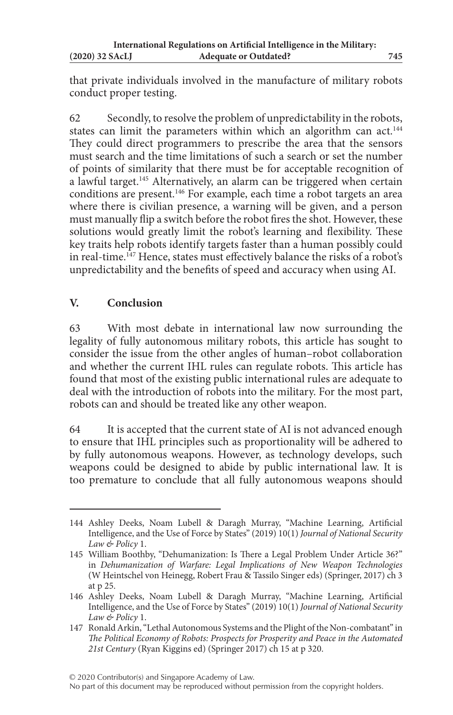that private individuals involved in the manufacture of military robots conduct proper testing.

62 Secondly, to resolve the problem of unpredictability in the robots, states can limit the parameters within which an algorithm can act.<sup>144</sup> They could direct programmers to prescribe the area that the sensors must search and the time limitations of such a search or set the number of points of similarity that there must be for acceptable recognition of a lawful target.<sup>145</sup> Alternatively, an alarm can be triggered when certain conditions are present.146 For example, each time a robot targets an area where there is civilian presence, a warning will be given, and a person must manually flip a switch before the robot fires the shot. However, these solutions would greatly limit the robot's learning and flexibility. These key traits help robots identify targets faster than a human possibly could in real-time.<sup>147</sup> Hence, states must effectively balance the risks of a robot's unpredictability and the benefits of speed and accuracy when using AI.

# **V. Conclusion**

63 With most debate in international law now surrounding the legality of fully autonomous military robots, this article has sought to consider the issue from the other angles of human–robot collaboration and whether the current IHL rules can regulate robots. This article has found that most of the existing public international rules are adequate to deal with the introduction of robots into the military. For the most part, robots can and should be treated like any other weapon.

64 It is accepted that the current state of AI is not advanced enough to ensure that IHL principles such as proportionality will be adhered to by fully autonomous weapons. However, as technology develops, such weapons could be designed to abide by public international law. It is too premature to conclude that all fully autonomous weapons should

<sup>144</sup> Ashley Deeks, Noam Lubell & Daragh Murray, "Machine Learning, Artificial Intelligence, and the Use of Force by States" (2019) 10(1) *Journal of National Security Law & Policy* 1.

<sup>145</sup> William Boothby, "Dehumanization: Is There a Legal Problem Under Article 36?" in *Dehumanization of Warfare: Legal Implications of New Weapon Technologies* (W Heintschel von Heinegg, Robert Frau & Tassilo Singer eds) (Springer, 2017) ch 3 at p 25.

<sup>146</sup> Ashley Deeks, Noam Lubell & Daragh Murray, "Machine Learning, Artificial Intelligence, and the Use of Force by States" (2019) 10(1) *Journal of National Security Law & Policy* 1.

<sup>147</sup> Ronald Arkin, "Lethal Autonomous Systems and the Plight of the Non-combatant" in *The Political Economy of Robots: Prospects for Prosperity and Peace in the Automated 21st Century* (Ryan Kiggins ed) (Springer 2017) ch 15 at p 320.

No part of this document may be reproduced without permission from the copyright holders.